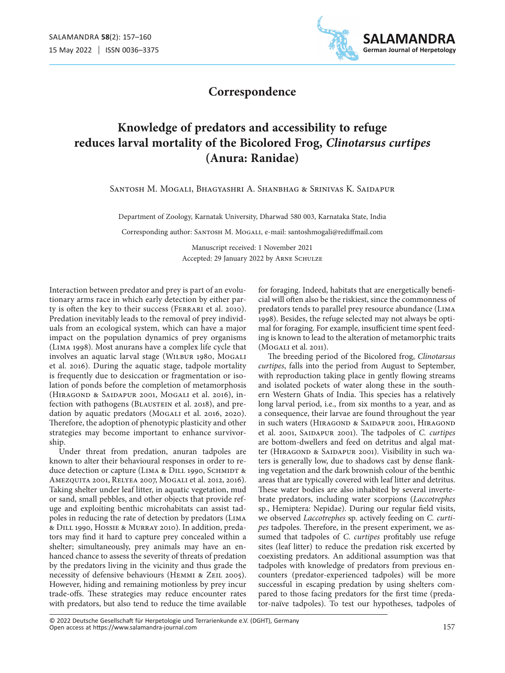

### **Correspondence**

# **Knowledge of predators and accessibility to refuge reduces larval mortality of the Bicolored Frog,** *Clinotarsus curtipes* **(Anura: Ranidae)**

Santosh M. Mogali, Bhagyashri A. Shanbhag & Srinivas K. Saidapur

Department of Zoology, Karnatak University, Dharwad 580 003, Karnataka State, India

Corresponding author: SANTOSH M. MOGALI, e-mail: santoshmogali@rediffmail.com

Manuscript received: 1 November 2021 Accepted: 29 January 2022 by ARNE SCHULZE

Interaction between predator and prey is part of an evolutionary arms race in which early detection by either party is often the key to their success (Ferrari et al. 2010). Predation inevitably leads to the removal of prey individuals from an ecological system, which can have a major impact on the population dynamics of prey organisms (Lima 1998). Most anurans have a complex life cycle that involves an aquatic larval stage (WILBUR 1980, MOGALI et al. 2016). During the aquatic stage, tadpole mortality is frequently due to desiccation or fragmentation or isolation of ponds before the completion of metamorphosis (Hiragond & Saidapur 2001, Mogali et al. 2016), infection with pathogens (BLAUSTEIN et al. 2018), and predation by aquatic predators (MOGALI et al. 2016, 2020). Therefore, the adoption of phenotypic plasticity and other strategies may become important to enhance survivorship.

Under threat from predation, anuran tadpoles are known to alter their behavioural responses in order to reduce detection or capture (LIMA & DILL 1990, SCHMIDT & Amezquita 2001, Relyea 2007, Mogali et al. 2012, 2016). Taking shelter under leaf litter, in aquatic vegetation, mud or sand, small pebbles, and other objects that provide refuge and exploiting benthic microhabitats can assist tadpoles in reducing the rate of detection by predators (Lima & Dill 1990, Hossie & Murray 2010). In addition, predators may find it hard to capture prey concealed within a shelter; simultaneously, prey animals may have an enhanced chance to assess the severity of threats of predation by the predators living in the vicinity and thus grade the necessity of defensive behaviours (Hemmi & Zeil 2005). However, hiding and remaining motionless by prey incur trade-offs. These strategies may reduce encounter rates with predators, but also tend to reduce the time available

for foraging. Indeed, habitats that are energetically beneficial will often also be the riskiest, since the commonness of predators tends to parallel prey resource abundance (Lima 1998). Besides, the refuge selected may not always be optimal for foraging. For example, insufficient time spent feeding is known to lead to the alteration of metamorphic traits (Mogali et al. 2011).

The breeding period of the Bicolored frog, *Clinotarsus curtipes*, falls into the period from August to September, with reproduction taking place in gently flowing streams and isolated pockets of water along these in the southern Western Ghats of India. This species has a relatively long larval period, i.e., from six months to a year, and as a consequence, their larvae are found throughout the year in such waters (HIRAGOND & SAIDAPUR 2001, HIRAGOND et al. 2001, Saidapur 2001). The tadpoles of *C. curtipes* are bottom-dwellers and feed on detritus and algal matter (HIRAGOND & SAIDAPUR 2001). Visibility in such waters is generally low, due to shadows cast by dense flanking vegetation and the dark brownish colour of the benthic areas that are typically covered with leaf litter and detritus. These water bodies are also inhabited by several invertebrate predators, including water scorpions (*Laccotrephes* sp., Hemiptera: Nepidae). During our regular field visits, we observed *Laccotrephes* sp. actively feeding on *C. curtipes* tadpoles. Therefore, in the present experiment, we assumed that tadpoles of *C. curtipes* profitably use refuge sites (leaf litter) to reduce the predation risk excerted by coexisting predators. An additional assumption was that tadpoles with knowledge of predators from previous encounters (predator-experienced tadpoles) will be more successful in escaping predation by using shelters compared to those facing predators for the first time (predator-naïve tadpoles). To test our hypotheses, tadpoles of

Open access at https://www.salamandra-journal.com © 2022 Deutsche Gesellschaft für Herpetologie und Terrarienkunde e.V. (DGHT), Germany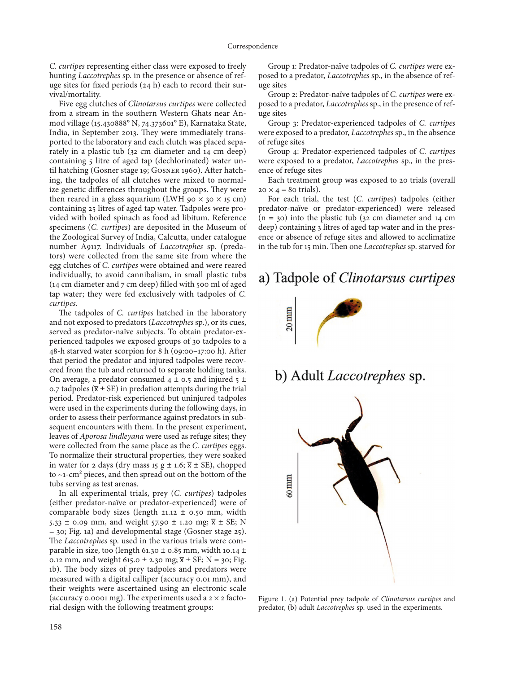*C. curtipes* representing either class were exposed to freely hunting *Laccotrephes* sp. in the presence or absence of refuge sites for fixed periods (24 h) each to record their survival/mortality.

Five egg clutches of *Clinotarsus curtipes* were collected from a stream in the southern Western Ghats near Anmod village (15.430888° N, 74.373601° E), Karnataka State, India, in September 2013. They were immediately transported to the laboratory and each clutch was placed separately in a plastic tub (32 cm diameter and 14 cm deep) containing 5 litre of aged tap (dechlorinated) water until hatching (Gosner stage 19; Gosner 1960). After hatching, the tadpoles of all clutches were mixed to normalize genetic differences throughout the groups. They were then reared in a glass aquarium (LWH 90  $\times$  30  $\times$  15 cm) containing 25 litres of aged tap water. Tadpoles were provided with boiled spinach as food ad libitum. Reference specimens (*C. curtipes*) are deposited in the Museum of the Zoological Survey of India, Calcutta, under catalogue number A9117. Individuals of *Laccotrephes* sp. (predators) were collected from the same site from where the egg clutches of *C. curtipes* were obtained and were reared individually, to avoid cannibalism, in small plastic tubs (14 cm diameter and 7 cm deep) filled with 500 ml of aged tap water; they were fed exclusively with tadpoles of *C. curtipes*.

The tadpoles of *C. curtipes* hatched in the laboratory and not exposed to predators (*Laccotrephes* sp.), or its cues, served as predator-naïve subjects. To obtain predator-experienced tadpoles we exposed groups of 30 tadpoles to a 48-h starved water scorpion for 8 h (09:00–17:00 h). After that period the predator and injured tadpoles were recovered from the tub and returned to separate holding tanks. On average, a predator consumed  $4 \pm 0.5$  and injured  $5 \pm 1$ 0.7 tadpoles ( $\overline{x}$  ± SE) in predation attempts during the trial period. Predator-risk experienced but uninjured tadpoles were used in the experiments during the following days, in order to assess their performance against predators in subsequent encounters with them. In the present experiment, leaves of *Aporosa lindleyana* were used as refuge sites; they were collected from the same place as the *C. curtipes* eggs. To normalize their structural properties, they were soaked in water for 2 days (dry mass 15 g  $\pm$  1.6;  $\overline{x}$   $\pm$  SE), chopped to  $\sim$ 1-cm<sup>2</sup> pieces, and then spread out on the bottom of the tubs serving as test arenas.

In all experimental trials, prey (*C. curtipes*) tadpoles (either predator-naïve or predator-experienced) were of comparable body sizes (length 21.12  $\pm$  0.50 mm, width 5.33  $\pm$  0.09 mm, and weight 57.90  $\pm$  1.20 mg;  $\overline{x} \pm \overline{SE}$ ; N  $=$  30; Fig. 1a) and developmental stage (Gosner stage 25). The *Laccotrephes* sp. used in the various trials were comparable in size, too (length 61.30  $\pm$  0.85 mm, width 10.14  $\pm$ 0.12 mm, and weight 615.0 ± 2.30 mg;  $\bar{x}$  ± SE; N = 30; Fig. 1b). The body sizes of prey tadpoles and predators were measured with a digital calliper (accuracy 0.01 mm), and their weights were ascertained using an electronic scale (accuracy 0.0001 mg). The experiments used a  $2 \times 2$  factorial design with the following treatment groups:

Group 1: Predator-naïve tadpoles of *C. curtipes* were exposed to a predator, *Laccotrephes* sp., in the absence of refuge sites

Group 2: Predator-naïve tadpoles of *C. curtipes* were exposed to a predator, *Laccotrephes* sp., in the presence of refuge sites

Group 3: Predator-experienced tadpoles of *C. curtipes* were exposed to a predator, *Laccotrephes* sp., in the absence of refuge sites

Group 4: Predator-experienced tadpoles of *C. curtipes* were exposed to a predator, *Laccotrephes* sp., in the presence of refuge sites

Each treatment group was exposed to 20 trials (overall  $20 \times 4 = 80$  trials).

For each trial, the test (*C. curtipes*) tadpoles (either predator-naïve or predator-experienced) were released  $(n = 30)$  into the plastic tub  $(32 \text{ cm diameter and } 14 \text{ cm})$ deep) containing 3 litres of aged tap water and in the presence or absence of refuge sites and allowed to acclimatize in the tub for 15 min. Then one *Laccotrephes* sp. starved for

# a) Tadpole of Clinotarsus curtipes



b) Adult *Laccotrephes* sp.



Figure 1. (a) Potential prey tadpole of *Clinotarsus curtipes* and predator, (b) adult *Laccotrephes* sp. used in the experiments.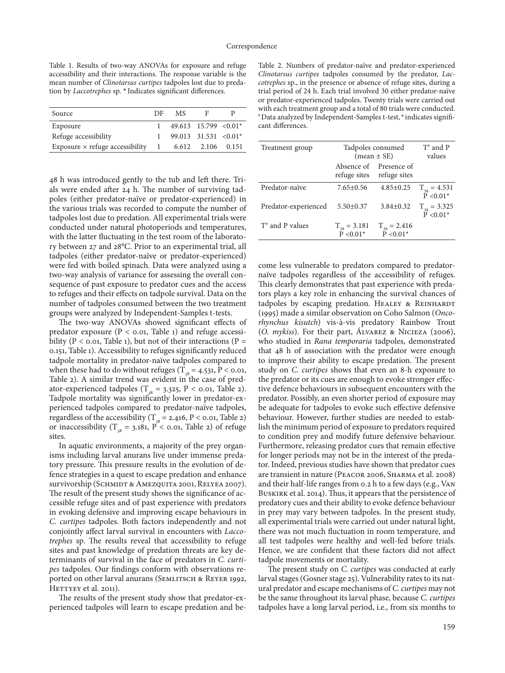Table 1. Results of two-way ANOVAs for exposure and refuge accessibility and their interactions. The response variable is the mean number of *Clinotarsus curtipes* tadpoles lost due to predation by *Laccotrephes* sp. **\*** Indicates significant differences.

| Source                                 | DF           | MS. | F                                   |  |
|----------------------------------------|--------------|-----|-------------------------------------|--|
| Exposure                               |              |     | $49.613$ 15.799 < 0.01 <sup>*</sup> |  |
| Refuge accessibility                   |              |     | 99.013 31.531 < $0.01*$             |  |
| Exposure $\times$ refuge accessibility | $\mathbf{1}$ |     | 6.612 2.106 0.151                   |  |

48 h was introduced gently to the tub and left there. Trials were ended after 24 h. The number of surviving tadpoles (either predator-naïve or predator-experienced) in the various trials was recorded to compute the number of tadpoles lost due to predation. All experimental trials were conducted under natural photoperiods and temperatures, with the latter fluctuating in the test room of the laboratory between 27 and 28°C. Prior to an experimental trial, all tadpoles (either predator-naïve or predator-experienced) were fed with boiled spinach. Data were analyzed using a two-way analysis of variance for assessing the overall consequence of past exposure to predator cues and the access to refuges and their effects on tadpole survival. Data on the number of tadpoles consumed between the two treatment groups were analyzed by Independent-Samples t-tests.

The two-way ANOVAs showed significant effects of predator exposure ( $P < 0.01$ , Table 1) and refuge accessibility ( $P < 0.01$ , Table 1), but not of their interactions ( $P =$ 0.151, Table 1). Accessibility to refuges significantly reduced tadpole mortality in predator-naïve tadpoles compared to when these had to do without refuges ( $T_{s} = 4.531$ , P < 0.01, Table 2). A similar trend was evident in the case of predator-experienced tadpoles ( $T_{38}$  = 3.325, P < 0.01, Table 2). Tadpole mortality was significantly lower in predator-experienced tadpoles compared to predator-naïve tadpoles, regardless of the accessibility ( $T_{38} = 2.416$ , P < 0.01, Table 2) or inaccessibility ( $T_{38} = 3.181$ , P < 0.01, Table 2) of refuge sites.

In aquatic environments, a majority of the prey organisms including larval anurans live under immense predatory pressure. This pressure results in the evolution of defence strategies in a quest to escape predation and enhance survivorship (SCHMIDT & AMEZQUITA 2001, RELYEA 2007). The result of the present study shows the significance of accessible refuge sites and of past experience with predators in evoking defensive and improving escape behaviours in *C. curtipes* tadpoles. Both factors independently and not conjointly affect larval survival in encounters with *Laccotrephes* sp. The results reveal that accessibility to refuge sites and past knowledge of predation threats are key determinants of survival in the face of predators in *C. curtipes* tadpoles. Our findings conform with observations reported on other larval anurans (SEMLITSCH & REYER 1992, HETTYEY et al. 2011).

The results of the present study show that predator-experienced tadpoles will learn to escape predation and be-

Table 2. Numbers of predator-naïve and predator-experienced *Clinotarsus curtipes* tadpoles consumed by the predator, *Laccotrephes* sp., in the presence or absence of refuge sites, during a trial period of 24 h. Each trial involved 30 either predator-naïve or predator-experienced tadpoles. Twenty trials were carried out with each treatment group and a total of 80 trials were conducted. # Data analyzed by Independent-Samples t-test, \* indicates significant differences.

| Treatment group      | Tadpoles consumed<br>$(mean \pm SE)$ |                                                     | $T^*$ and P<br>values                  |
|----------------------|--------------------------------------|-----------------------------------------------------|----------------------------------------|
|                      |                                      | Absence of Presence of<br>refuge sites refuge sites |                                        |
| Predator-naïve       | $7.65 \pm 0.56$                      | $4.85 \pm 0.25$                                     | $T_{38} = 4.531$<br>$\tilde{P}$ <0.01* |
| Predator-experienced | $5.50 \pm 0.37$                      | $3.84 \pm 0.32$                                     | $T_{38} = 3.325$<br>$\tilde{P}$ <0.01* |
| $T^*$ and P values   | $T_{38} = 3.181$<br>$P < 0.01*$      | $T_{38} = 2.416$<br>$\tilde{P}$ <0.01*              |                                        |

come less vulnerable to predators compared to predatornaïve tadpoles regardless of the accessibility of refuges. This clearly demonstrates that past experience with predators plays a key role in enhancing the survival chances of tadpoles by escaping predation. HEALEY & REINHARDT (1995) made a similar observation on Coho Salmon (*Oncorhynchus kisutch*) vis-à-vis predatory Rainbow Trout (*O. mykiss*). For their part, Álvarez & Nicieza (2006), who studied in *Rana temporaria* tadpoles, demonstrated that 48 h of association with the predator were enough to improve their ability to escape predation. The present study on *C. curtipes* shows that even an 8-h exposure to the predator or its cues are enough to evoke stronger effective defence behaviours in subsequent encounters with the predator. Possibly, an even shorter period of exposure may be adequate for tadpoles to evoke such effective defensive behaviour. However, further studies are needed to establish the minimum period of exposure to predators required to condition prey and modify future defensive behaviour. Furthermore, releasing predator cues that remain effective for longer periods may not be in the interest of the predator. Indeed, previous studies have shown that predator cues are transient in nature (Peacor 2006, Sharma et al. 2008) and their half-life ranges from 0.2 h to a few days (e.g., Van Buskirk et al. 2014). Thus, it appears that the persistence of predatory cues and their ability to evoke defence behaviour in prey may vary between tadpoles. In the present study, all experimental trials were carried out under natural light, there was not much fluctuation in room temperature, and all test tadpoles were healthy and well-fed before trials. Hence, we are confident that these factors did not affect tadpole movements or mortality.

The present study on *C. curtipes* was conducted at early larval stages (Gosner stage 25). Vulnerability rates to its natural predator and escape mechanisms of *C. curtipes* may not be the same throughout its larval phase, because *C. curtipes* tadpoles have a long larval period, i.e., from six months to